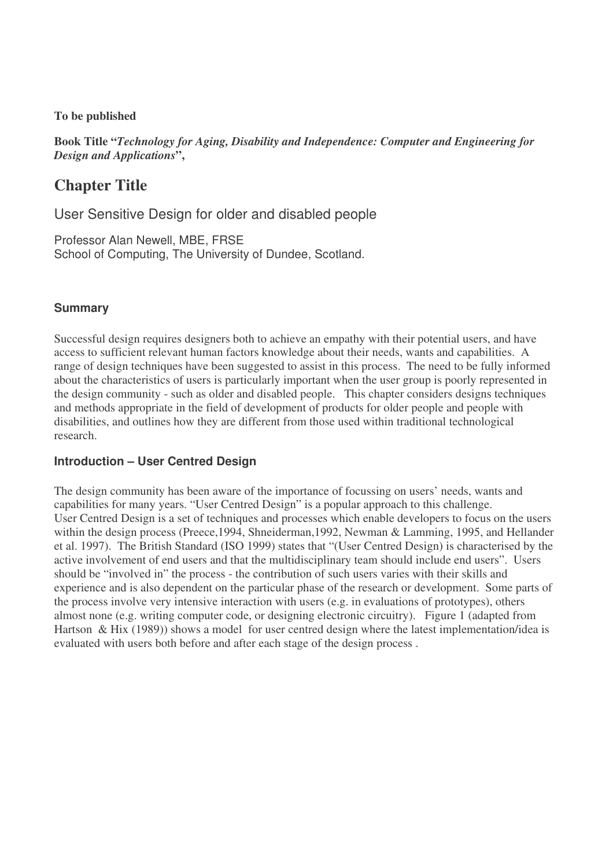### **To be published**

**Book Title "***Technology for Aging, Disability and Independence: Computer and Engineering for Design and Applications***",**

# **Chapter Title**

User Sensitive Design for older and disabled people

Professor Alan Newell, MBE, FRSE School of Computing, The University of Dundee, Scotland.

# **Summary**

Successful design requires designers both to achieve an empathy with their potential users, and have access to sufficient relevant human factors knowledge about their needs, wants and capabilities. A range of design techniques have been suggested to assist in this process. The need to be fully informed about the characteristics of users is particularly important when the user group is poorly represented in the design community - such as older and disabled people. This chapter considers designs techniques and methods appropriate in the field of development of products for older people and people with disabilities, and outlines how they are different from those used within traditional technological research.

# **Introduction – User Centred Design**

The design community has been aware of the importance of focussing on users' needs, wants and capabilities for many years. "User Centred Design" is a popular approach to this challenge. User Centred Design is a set of techniques and processes which enable developers to focus on the users within the design process (Preece,1994, Shneiderman,1992, Newman & Lamming, 1995, and Hellander et al. 1997). The British Standard (ISO 1999) states that "(User Centred Design) is characterised by the active involvement of end users and that the multidisciplinary team should include end users". Users should be "involved in" the process - the contribution of such users varies with their skills and experience and is also dependent on the particular phase of the research or development. Some parts of the process involve very intensive interaction with users (e.g. in evaluations of prototypes), others almost none (e.g. writing computer code, or designing electronic circuitry). Figure 1 (adapted from Hartson & Hix (1989)) shows a model for user centred design where the latest implementation/idea is evaluated with users both before and after each stage of the design process .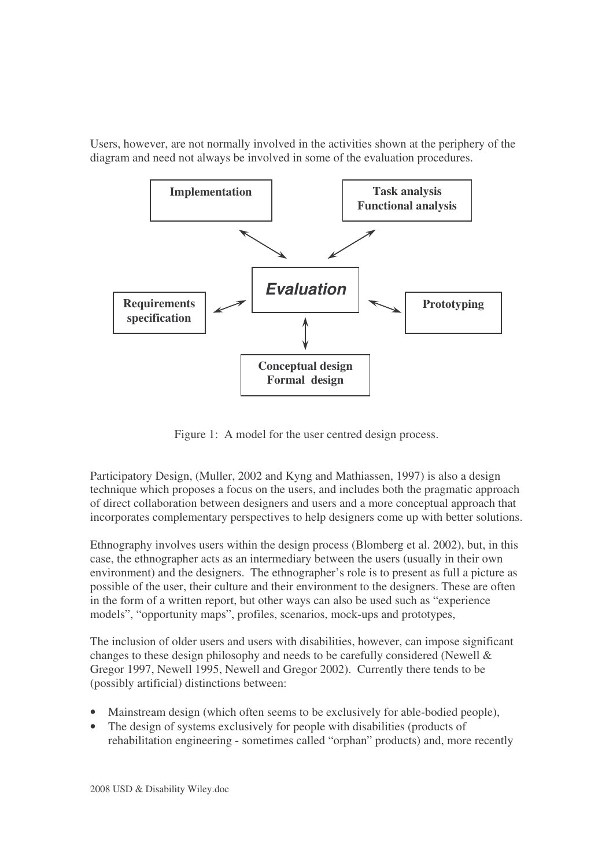Users, however, are not normally involved in the activities shown at the periphery of the diagram and need not always be involved in some of the evaluation procedures.



Figure 1: A model for the user centred design process.

Participatory Design, (Muller, 2002 and Kyng and Mathiassen, 1997) is also a design technique which proposes a focus on the users, and includes both the pragmatic approach of direct collaboration between designers and users and a more conceptual approach that incorporates complementary perspectives to help designers come up with better solutions.

Ethnography involves users within the design process (Blomberg et al. 2002), but, in this case, the ethnographer acts as an intermediary between the users (usually in their own environment) and the designers. The ethnographer's role is to present as full a picture as possible of the user, their culture and their environment to the designers. These are often in the form of a written report, but other ways can also be used such as "experience models", "opportunity maps", profiles, scenarios, mock-ups and prototypes,

The inclusion of older users and users with disabilities, however, can impose significant changes to these design philosophy and needs to be carefully considered (Newell & Gregor 1997, Newell 1995, Newell and Gregor 2002). Currently there tends to be (possibly artificial) distinctions between:

- Mainstream design (which often seems to be exclusively for able-bodied people),
- The design of systems exclusively for people with disabilities (products of rehabilitation engineering - sometimes called "orphan" products) and, more recently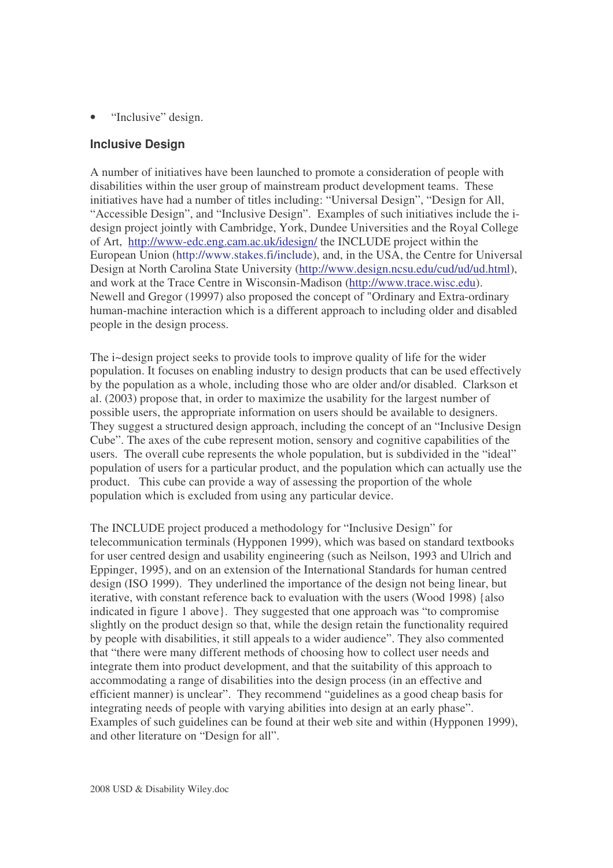• "Inclusive" design.

#### **Inclusive Design**

A number of initiatives have been launched to promote a consideration of people with disabilities within the user group of mainstream product development teams. These initiatives have had a number of titles including: "Universal Design", "Design for All, "Accessible Design", and "Inclusive Design". Examples of such initiatives include the idesign project jointly with Cambridge, York, Dundee Universities and the Royal College of Art, http://www-edc.eng.cam.ac.uk/idesign/ the INCLUDE project within the European Union (http://www.stakes.fi/include), and, in the USA, the Centre for Universal Design at North Carolina State University (http://www.design.ncsu.edu/cud/ud/ud.html), and work at the Trace Centre in Wisconsin-Madison (http://www.trace.wisc.edu). Newell and Gregor (19997) also proposed the concept of "Ordinary and Extra-ordinary human-machine interaction which is a different approach to including older and disabled people in the design process.

The i~design project seeks to provide tools to improve quality of life for the wider population. It focuses on enabling industry to design products that can be used effectively by the population as a whole, including those who are older and/or disabled. Clarkson et al. (2003) propose that, in order to maximize the usability for the largest number of possible users, the appropriate information on users should be available to designers. They suggest a structured design approach, including the concept of an "Inclusive Design Cube". The axes of the cube represent motion, sensory and cognitive capabilities of the users. The overall cube represents the whole population, but is subdivided in the "ideal" population of users for a particular product, and the population which can actually use the product. This cube can provide a way of assessing the proportion of the whole population which is excluded from using any particular device.

The INCLUDE project produced a methodology for "Inclusive Design" for telecommunication terminals (Hypponen 1999), which was based on standard textbooks for user centred design and usability engineering (such as Neilson, 1993 and Ulrich and Eppinger, 1995), and on an extension of the International Standards for human centred design (ISO 1999). They underlined the importance of the design not being linear, but iterative, with constant reference back to evaluation with the users (Wood 1998) {also indicated in figure 1 above}. They suggested that one approach was "to compromise slightly on the product design so that, while the design retain the functionality required by people with disabilities, it still appeals to a wider audience". They also commented that "there were many different methods of choosing how to collect user needs and integrate them into product development, and that the suitability of this approach to accommodating a range of disabilities into the design process (in an effective and efficient manner) is unclear". They recommend "guidelines as a good cheap basis for integrating needs of people with varying abilities into design at an early phase". Examples of such guidelines can be found at their web site and within (Hypponen 1999), and other literature on "Design for all".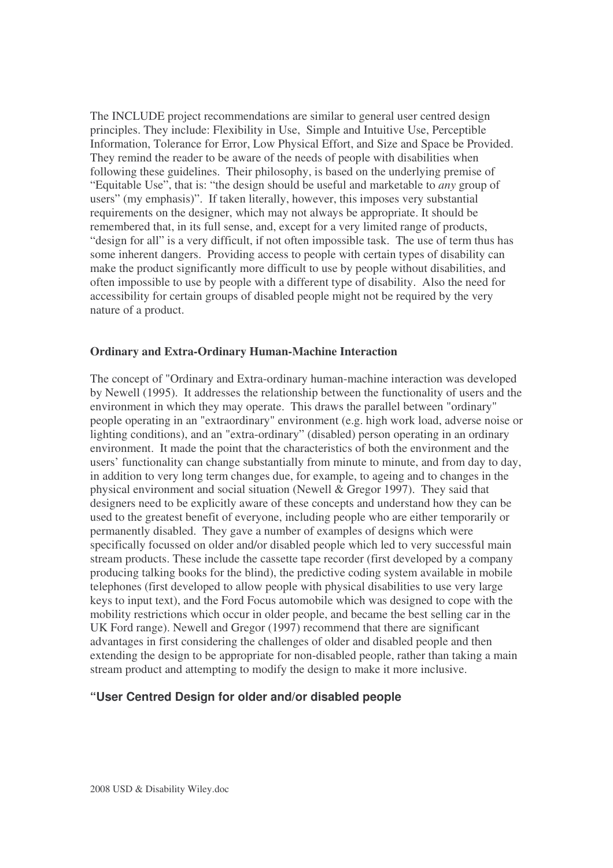The INCLUDE project recommendations are similar to general user centred design principles. They include: Flexibility in Use, Simple and Intuitive Use, Perceptible Information, Tolerance for Error, Low Physical Effort, and Size and Space be Provided. They remind the reader to be aware of the needs of people with disabilities when following these guidelines. Their philosophy, is based on the underlying premise of "Equitable Use", that is: "the design should be useful and marketable to *any* group of users" (my emphasis)". If taken literally, however, this imposes very substantial requirements on the designer, which may not always be appropriate. It should be remembered that, in its full sense, and, except for a very limited range of products, "design for all" is a very difficult, if not often impossible task. The use of term thus has some inherent dangers. Providing access to people with certain types of disability can make the product significantly more difficult to use by people without disabilities, and often impossible to use by people with a different type of disability. Also the need for accessibility for certain groups of disabled people might not be required by the very nature of a product.

#### **Ordinary and Extra-Ordinary Human-Machine Interaction**

The concept of "Ordinary and Extra-ordinary human-machine interaction was developed by Newell (1995). It addresses the relationship between the functionality of users and the environment in which they may operate. This draws the parallel between "ordinary" people operating in an "extraordinary" environment (e.g. high work load, adverse noise or lighting conditions), and an "extra-ordinary" (disabled) person operating in an ordinary environment. It made the point that the characteristics of both the environment and the users' functionality can change substantially from minute to minute, and from day to day, in addition to very long term changes due, for example, to ageing and to changes in the physical environment and social situation (Newell & Gregor 1997). They said that designers need to be explicitly aware of these concepts and understand how they can be used to the greatest benefit of everyone, including people who are either temporarily or permanently disabled. They gave a number of examples of designs which were specifically focussed on older and/or disabled people which led to very successful main stream products. These include the cassette tape recorder (first developed by a company producing talking books for the blind), the predictive coding system available in mobile telephones (first developed to allow people with physical disabilities to use very large keys to input text), and the Ford Focus automobile which was designed to cope with the mobility restrictions which occur in older people, and became the best selling car in the UK Ford range). Newell and Gregor (1997) recommend that there are significant advantages in first considering the challenges of older and disabled people and then extending the design to be appropriate for non-disabled people, rather than taking a main stream product and attempting to modify the design to make it more inclusive.

### **"User Centred Design for older and/or disabled people**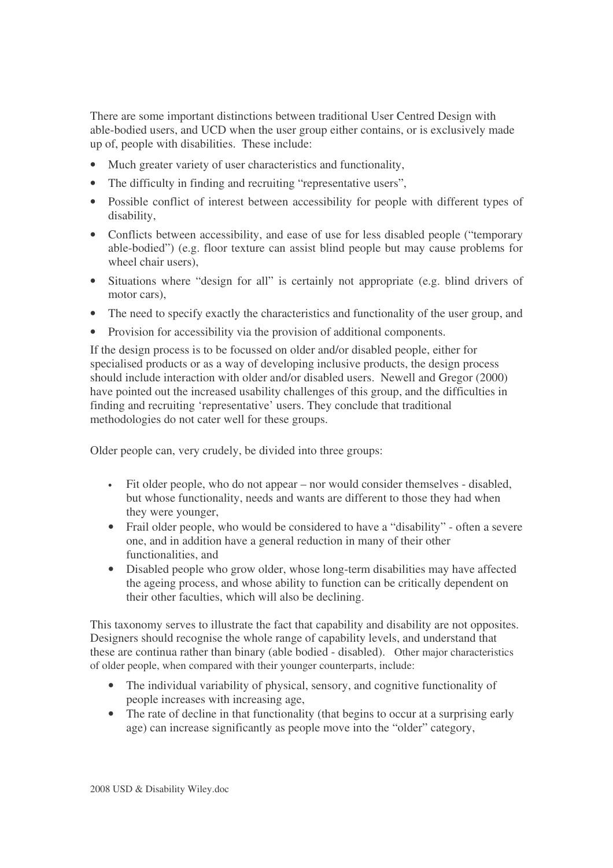There are some important distinctions between traditional User Centred Design with able-bodied users, and UCD when the user group either contains, or is exclusively made up of, people with disabilities. These include:

- Much greater variety of user characteristics and functionality,
- The difficulty in finding and recruiting "representative users",
- Possible conflict of interest between accessibility for people with different types of disability,
- Conflicts between accessibility, and ease of use for less disabled people ("temporary" able-bodied") (e.g. floor texture can assist blind people but may cause problems for wheel chair users),
- Situations where "design for all" is certainly not appropriate (e.g. blind drivers of motor cars),
- The need to specify exactly the characteristics and functionality of the user group, and
- Provision for accessibility via the provision of additional components.

If the design process is to be focussed on older and/or disabled people, either for specialised products or as a way of developing inclusive products, the design process should include interaction with older and/or disabled users. Newell and Gregor (2000) have pointed out the increased usability challenges of this group, and the difficulties in finding and recruiting 'representative' users. They conclude that traditional methodologies do not cater well for these groups.

Older people can, very crudely, be divided into three groups:

- Fit older people, who do not appear nor would consider themselves disabled, but whose functionality, needs and wants are different to those they had when they were younger,
- Frail older people, who would be considered to have a "disability" often a severe one, and in addition have a general reduction in many of their other functionalities, and
- Disabled people who grow older, whose long-term disabilities may have affected the ageing process, and whose ability to function can be critically dependent on their other faculties, which will also be declining.

This taxonomy serves to illustrate the fact that capability and disability are not opposites. Designers should recognise the whole range of capability levels, and understand that these are continua rather than binary (able bodied - disabled). Other major characteristics of older people, when compared with their younger counterparts, include:

- The individual variability of physical, sensory, and cognitive functionality of people increases with increasing age,
- The rate of decline in that functionality (that begins to occur at a surprising early age) can increase significantly as people move into the "older" category,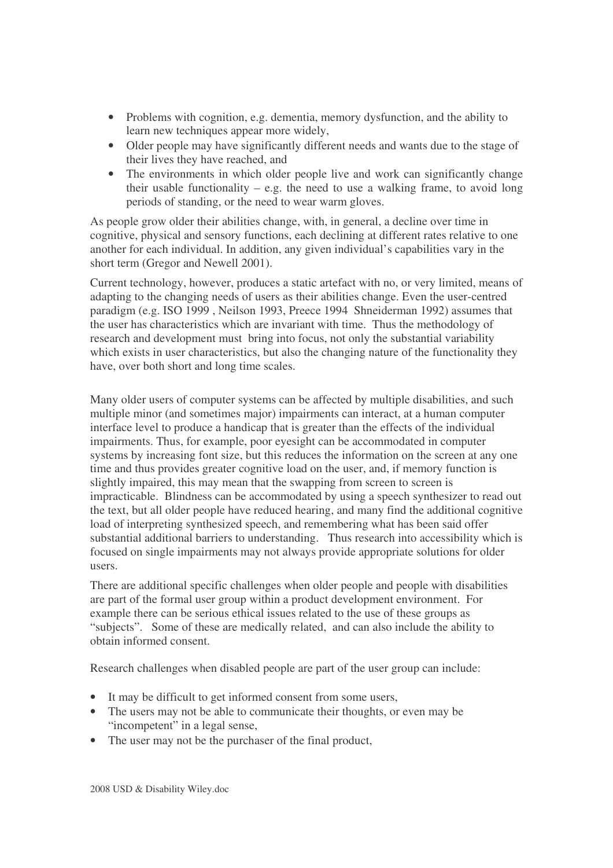- Problems with cognition, e.g. dementia, memory dysfunction, and the ability to learn new techniques appear more widely,
- Older people may have significantly different needs and wants due to the stage of their lives they have reached, and
- The environments in which older people live and work can significantly change their usable functionality – e.g. the need to use a walking frame, to avoid long periods of standing, or the need to wear warm gloves.

As people grow older their abilities change, with, in general, a decline over time in cognitive, physical and sensory functions, each declining at different rates relative to one another for each individual. In addition, any given individual's capabilities vary in the short term (Gregor and Newell 2001).

Current technology, however, produces a static artefact with no, or very limited, means of adapting to the changing needs of users as their abilities change. Even the user-centred paradigm (e.g. ISO 1999 , Neilson 1993, Preece 1994 Shneiderman 1992) assumes that the user has characteristics which are invariant with time. Thus the methodology of research and development must bring into focus, not only the substantial variability which exists in user characteristics, but also the changing nature of the functionality they have, over both short and long time scales.

Many older users of computer systems can be affected by multiple disabilities, and such multiple minor (and sometimes major) impairments can interact, at a human computer interface level to produce a handicap that is greater than the effects of the individual impairments. Thus, for example, poor eyesight can be accommodated in computer systems by increasing font size, but this reduces the information on the screen at any one time and thus provides greater cognitive load on the user, and, if memory function is slightly impaired, this may mean that the swapping from screen to screen is impracticable. Blindness can be accommodated by using a speech synthesizer to read out the text, but all older people have reduced hearing, and many find the additional cognitive load of interpreting synthesized speech, and remembering what has been said offer substantial additional barriers to understanding. Thus research into accessibility which is focused on single impairments may not always provide appropriate solutions for older users.

There are additional specific challenges when older people and people with disabilities are part of the formal user group within a product development environment. For example there can be serious ethical issues related to the use of these groups as "subjects". Some of these are medically related, and can also include the ability to obtain informed consent.

Research challenges when disabled people are part of the user group can include:

- It may be difficult to get informed consent from some users,
- The users may not be able to communicate their thoughts, or even may be "incompetent" in a legal sense,
- The user may not be the purchaser of the final product,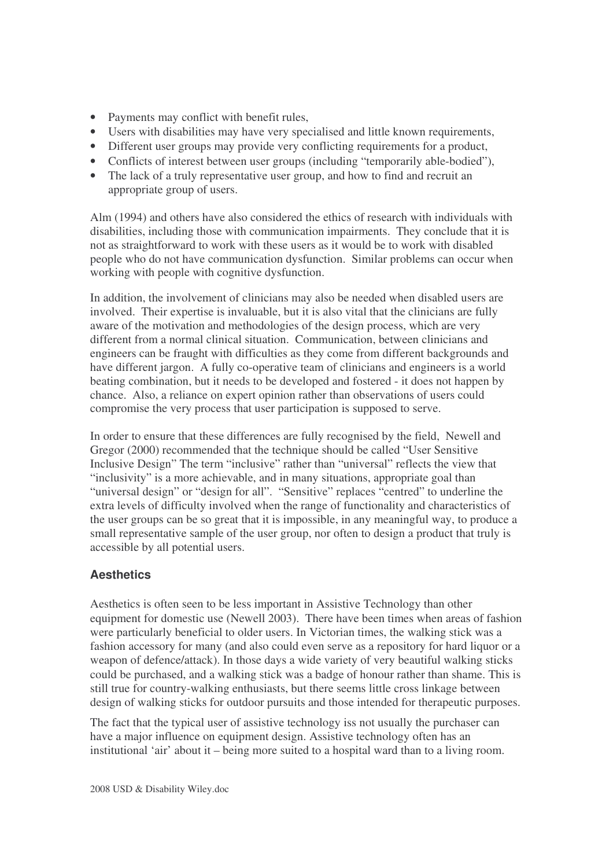- Payments may conflict with benefit rules,
- Users with disabilities may have very specialised and little known requirements,
- Different user groups may provide very conflicting requirements for a product,
- Conflicts of interest between user groups (including "temporarily able-bodied"),
- The lack of a truly representative user group, and how to find and recruit an appropriate group of users.

Alm (1994) and others have also considered the ethics of research with individuals with disabilities, including those with communication impairments. They conclude that it is not as straightforward to work with these users as it would be to work with disabled people who do not have communication dysfunction. Similar problems can occur when working with people with cognitive dysfunction.

In addition, the involvement of clinicians may also be needed when disabled users are involved. Their expertise is invaluable, but it is also vital that the clinicians are fully aware of the motivation and methodologies of the design process, which are very different from a normal clinical situation. Communication, between clinicians and engineers can be fraught with difficulties as they come from different backgrounds and have different jargon. A fully co-operative team of clinicians and engineers is a world beating combination, but it needs to be developed and fostered - it does not happen by chance. Also, a reliance on expert opinion rather than observations of users could compromise the very process that user participation is supposed to serve.

In order to ensure that these differences are fully recognised by the field, Newell and Gregor (2000) recommended that the technique should be called "User Sensitive Inclusive Design" The term "inclusive" rather than "universal" reflects the view that "inclusivity" is a more achievable, and in many situations, appropriate goal than "universal design" or "design for all". "Sensitive" replaces "centred" to underline the extra levels of difficulty involved when the range of functionality and characteristics of the user groups can be so great that it is impossible, in any meaningful way, to produce a small representative sample of the user group, nor often to design a product that truly is accessible by all potential users.

# **Aesthetics**

Aesthetics is often seen to be less important in Assistive Technology than other equipment for domestic use (Newell 2003). There have been times when areas of fashion were particularly beneficial to older users. In Victorian times, the walking stick was a fashion accessory for many (and also could even serve as a repository for hard liquor or a weapon of defence/attack). In those days a wide variety of very beautiful walking sticks could be purchased, and a walking stick was a badge of honour rather than shame. This is still true for country-walking enthusiasts, but there seems little cross linkage between design of walking sticks for outdoor pursuits and those intended for therapeutic purposes.

The fact that the typical user of assistive technology iss not usually the purchaser can have a major influence on equipment design. Assistive technology often has an institutional 'air' about it – being more suited to a hospital ward than to a living room.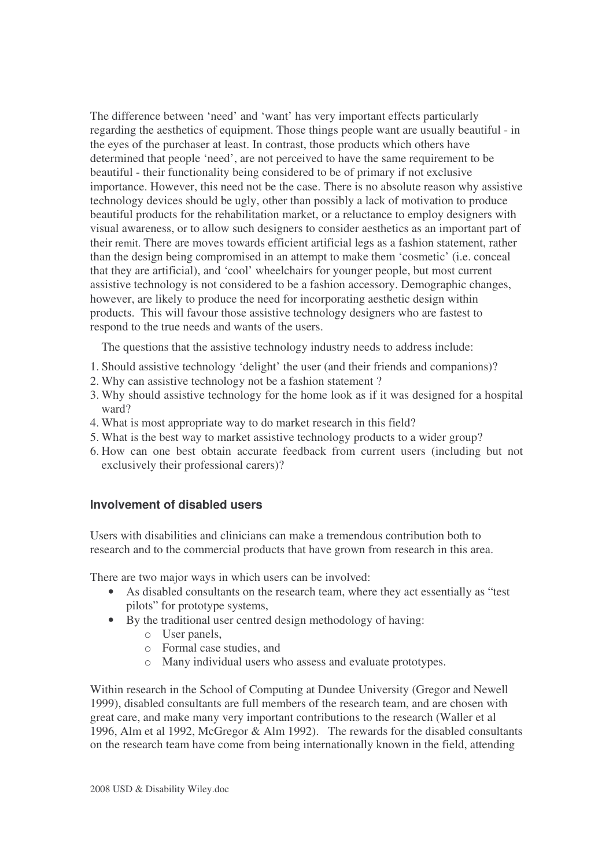The difference between 'need' and 'want' has very important effects particularly regarding the aesthetics of equipment. Those things people want are usually beautiful - in the eyes of the purchaser at least. In contrast, those products which others have determined that people 'need', are not perceived to have the same requirement to be beautiful - their functionality being considered to be of primary if not exclusive importance. However, this need not be the case. There is no absolute reason why assistive technology devices should be ugly, other than possibly a lack of motivation to produce beautiful products for the rehabilitation market, or a reluctance to employ designers with visual awareness, or to allow such designers to consider aesthetics as an important part of their remit. There are moves towards efficient artificial legs as a fashion statement, rather than the design being compromised in an attempt to make them 'cosmetic' (i.e. conceal that they are artificial), and 'cool' wheelchairs for younger people, but most current assistive technology is not considered to be a fashion accessory. Demographic changes, however, are likely to produce the need for incorporating aesthetic design within products. This will favour those assistive technology designers who are fastest to respond to the true needs and wants of the users.

The questions that the assistive technology industry needs to address include:

- 1. Should assistive technology 'delight' the user (and their friends and companions)?
- 2. Why can assistive technology not be a fashion statement ?
- 3. Why should assistive technology for the home look as if it was designed for a hospital ward?
- 4. What is most appropriate way to do market research in this field?
- 5. What is the best way to market assistive technology products to a wider group?
- 6. How can one best obtain accurate feedback from current users (including but not exclusively their professional carers)?

### **Involvement of disabled users**

Users with disabilities and clinicians can make a tremendous contribution both to research and to the commercial products that have grown from research in this area.

There are two major ways in which users can be involved:

- As disabled consultants on the research team, where they act essentially as "test pilots" for prototype systems,
- By the traditional user centred design methodology of having:
	- o User panels,
	- o Formal case studies, and
	- o Many individual users who assess and evaluate prototypes.

Within research in the School of Computing at Dundee University (Gregor and Newell 1999), disabled consultants are full members of the research team, and are chosen with great care, and make many very important contributions to the research (Waller et al 1996, Alm et al 1992, McGregor & Alm 1992). The rewards for the disabled consultants on the research team have come from being internationally known in the field, attending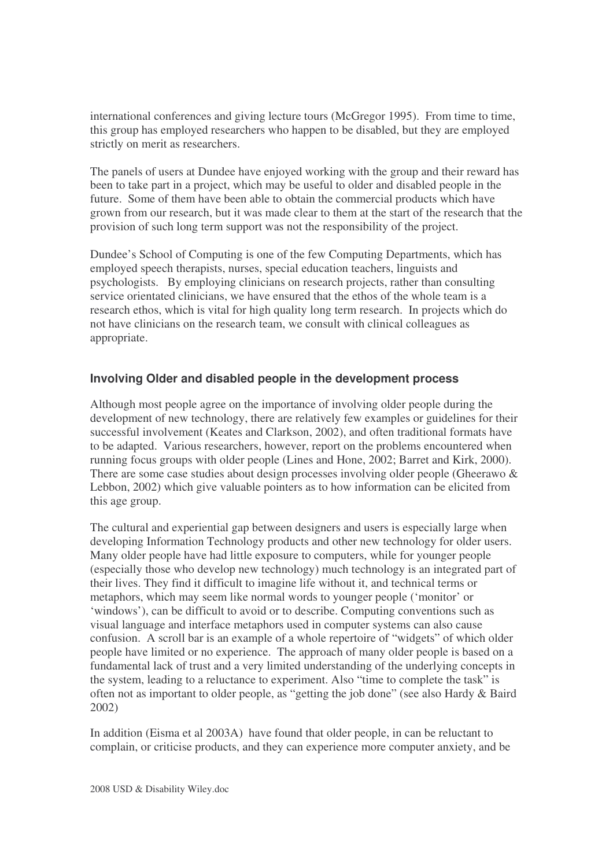international conferences and giving lecture tours (McGregor 1995). From time to time, this group has employed researchers who happen to be disabled, but they are employed strictly on merit as researchers.

The panels of users at Dundee have enjoyed working with the group and their reward has been to take part in a project, which may be useful to older and disabled people in the future. Some of them have been able to obtain the commercial products which have grown from our research, but it was made clear to them at the start of the research that the provision of such long term support was not the responsibility of the project.

Dundee's School of Computing is one of the few Computing Departments, which has employed speech therapists, nurses, special education teachers, linguists and psychologists. By employing clinicians on research projects, rather than consulting service orientated clinicians, we have ensured that the ethos of the whole team is a research ethos, which is vital for high quality long term research. In projects which do not have clinicians on the research team, we consult with clinical colleagues as appropriate.

# **Involving Older and disabled people in the development process**

Although most people agree on the importance of involving older people during the development of new technology, there are relatively few examples or guidelines for their successful involvement (Keates and Clarkson, 2002), and often traditional formats have to be adapted. Various researchers, however, report on the problems encountered when running focus groups with older people (Lines and Hone, 2002; Barret and Kirk, 2000). There are some case studies about design processes involving older people (Gheerawo & Lebbon, 2002) which give valuable pointers as to how information can be elicited from this age group.

The cultural and experiential gap between designers and users is especially large when developing Information Technology products and other new technology for older users. Many older people have had little exposure to computers, while for younger people (especially those who develop new technology) much technology is an integrated part of their lives. They find it difficult to imagine life without it, and technical terms or metaphors, which may seem like normal words to younger people ('monitor' or 'windows'), can be difficult to avoid or to describe. Computing conventions such as visual language and interface metaphors used in computer systems can also cause confusion. A scroll bar is an example of a whole repertoire of "widgets" of which older people have limited or no experience. The approach of many older people is based on a fundamental lack of trust and a very limited understanding of the underlying concepts in the system, leading to a reluctance to experiment. Also "time to complete the task" is often not as important to older people, as "getting the job done" (see also Hardy & Baird 2002)

In addition (Eisma et al 2003A) have found that older people, in can be reluctant to complain, or criticise products, and they can experience more computer anxiety, and be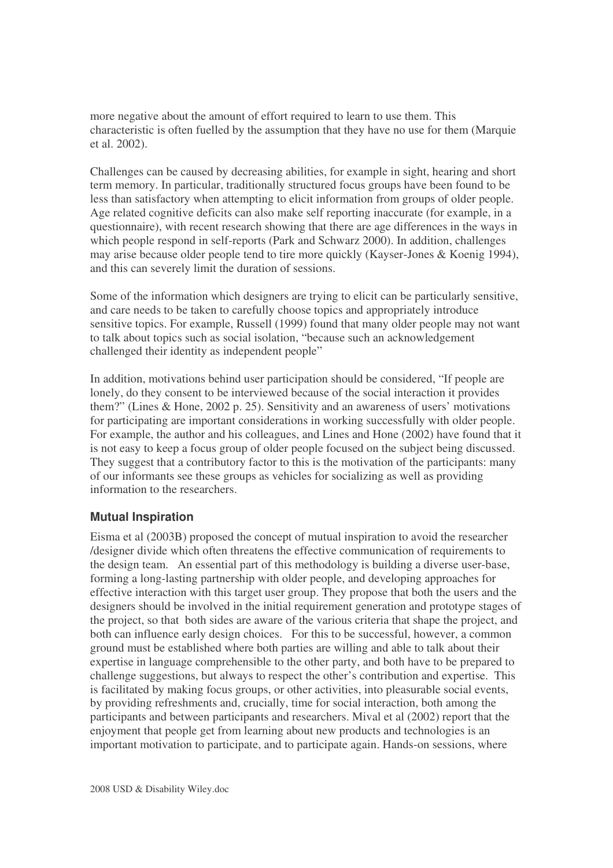more negative about the amount of effort required to learn to use them. This characteristic is often fuelled by the assumption that they have no use for them (Marquie et al. 2002).

Challenges can be caused by decreasing abilities, for example in sight, hearing and short term memory. In particular, traditionally structured focus groups have been found to be less than satisfactory when attempting to elicit information from groups of older people. Age related cognitive deficits can also make self reporting inaccurate (for example, in a questionnaire), with recent research showing that there are age differences in the ways in which people respond in self-reports (Park and Schwarz 2000). In addition, challenges may arise because older people tend to tire more quickly (Kayser-Jones & Koenig 1994), and this can severely limit the duration of sessions.

Some of the information which designers are trying to elicit can be particularly sensitive, and care needs to be taken to carefully choose topics and appropriately introduce sensitive topics. For example, Russell (1999) found that many older people may not want to talk about topics such as social isolation, "because such an acknowledgement challenged their identity as independent people"

In addition, motivations behind user participation should be considered, "If people are lonely, do they consent to be interviewed because of the social interaction it provides them?" (Lines & Hone, 2002 p. 25). Sensitivity and an awareness of users' motivations for participating are important considerations in working successfully with older people. For example, the author and his colleagues, and Lines and Hone (2002) have found that it is not easy to keep a focus group of older people focused on the subject being discussed. They suggest that a contributory factor to this is the motivation of the participants: many of our informants see these groups as vehicles for socializing as well as providing information to the researchers.

# **Mutual Inspiration**

Eisma et al (2003B) proposed the concept of mutual inspiration to avoid the researcher /designer divide which often threatens the effective communication of requirements to the design team. An essential part of this methodology is building a diverse user-base, forming a long-lasting partnership with older people, and developing approaches for effective interaction with this target user group. They propose that both the users and the designers should be involved in the initial requirement generation and prototype stages of the project, so that both sides are aware of the various criteria that shape the project, and both can influence early design choices. For this to be successful, however, a common ground must be established where both parties are willing and able to talk about their expertise in language comprehensible to the other party, and both have to be prepared to challenge suggestions, but always to respect the other's contribution and expertise. This is facilitated by making focus groups, or other activities, into pleasurable social events, by providing refreshments and, crucially, time for social interaction, both among the participants and between participants and researchers. Mival et al (2002) report that the enjoyment that people get from learning about new products and technologies is an important motivation to participate, and to participate again. Hands-on sessions, where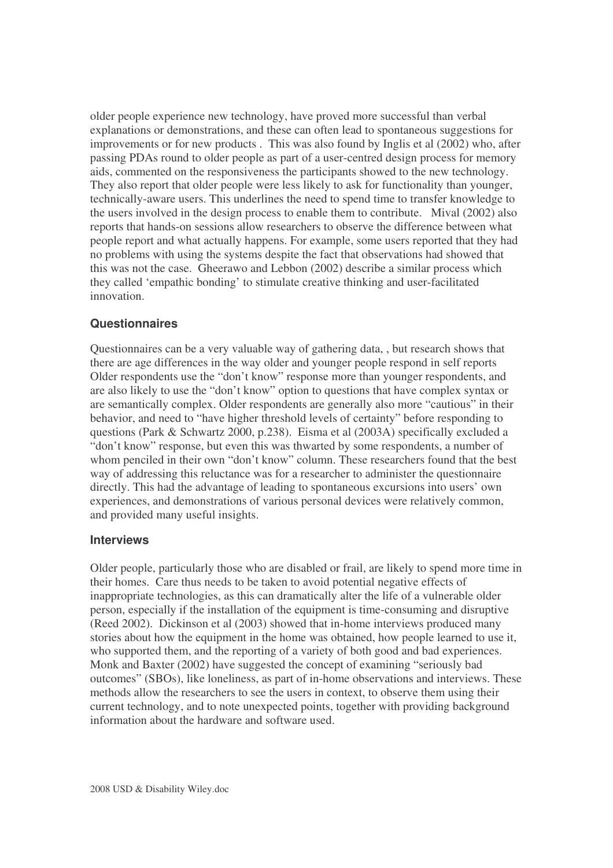older people experience new technology, have proved more successful than verbal explanations or demonstrations, and these can often lead to spontaneous suggestions for improvements or for new products . This was also found by Inglis et al (2002) who, after passing PDAs round to older people as part of a user-centred design process for memory aids, commented on the responsiveness the participants showed to the new technology. They also report that older people were less likely to ask for functionality than younger, technically-aware users. This underlines the need to spend time to transfer knowledge to the users involved in the design process to enable them to contribute. Mival (2002) also reports that hands-on sessions allow researchers to observe the difference between what people report and what actually happens. For example, some users reported that they had no problems with using the systems despite the fact that observations had showed that this was not the case. Gheerawo and Lebbon (2002) describe a similar process which they called 'empathic bonding' to stimulate creative thinking and user-facilitated innovation.

### **Questionnaires**

Questionnaires can be a very valuable way of gathering data, , but research shows that there are age differences in the way older and younger people respond in self reports Older respondents use the "don't know" response more than younger respondents, and are also likely to use the "don't know" option to questions that have complex syntax or are semantically complex. Older respondents are generally also more "cautious" in their behavior, and need to "have higher threshold levels of certainty" before responding to questions (Park & Schwartz 2000, p.238). Eisma et al (2003A) specifically excluded a "don't know" response, but even this was thwarted by some respondents, a number of whom penciled in their own "don't know" column. These researchers found that the best way of addressing this reluctance was for a researcher to administer the questionnaire directly. This had the advantage of leading to spontaneous excursions into users' own experiences, and demonstrations of various personal devices were relatively common, and provided many useful insights.

#### **Interviews**

Older people, particularly those who are disabled or frail, are likely to spend more time in their homes. Care thus needs to be taken to avoid potential negative effects of inappropriate technologies, as this can dramatically alter the life of a vulnerable older person, especially if the installation of the equipment is time-consuming and disruptive (Reed 2002). Dickinson et al (2003) showed that in-home interviews produced many stories about how the equipment in the home was obtained, how people learned to use it, who supported them, and the reporting of a variety of both good and bad experiences. Monk and Baxter (2002) have suggested the concept of examining "seriously bad outcomes" (SBOs), like loneliness, as part of in-home observations and interviews. These methods allow the researchers to see the users in context, to observe them using their current technology, and to note unexpected points, together with providing background information about the hardware and software used.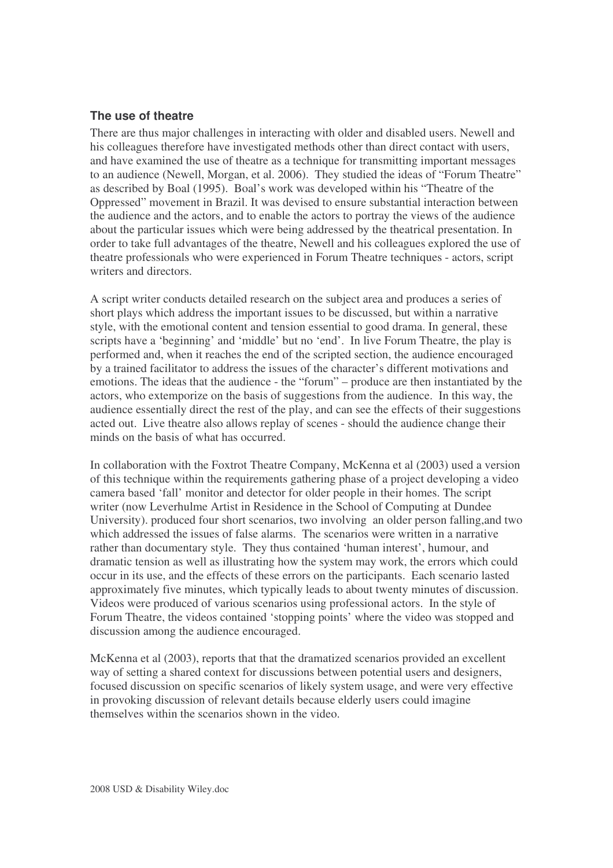### **The use of theatre**

There are thus major challenges in interacting with older and disabled users. Newell and his colleagues therefore have investigated methods other than direct contact with users, and have examined the use of theatre as a technique for transmitting important messages to an audience (Newell, Morgan, et al. 2006). They studied the ideas of "Forum Theatre" as described by Boal (1995). Boal's work was developed within his "Theatre of the Oppressed" movement in Brazil. It was devised to ensure substantial interaction between the audience and the actors, and to enable the actors to portray the views of the audience about the particular issues which were being addressed by the theatrical presentation. In order to take full advantages of the theatre, Newell and his colleagues explored the use of theatre professionals who were experienced in Forum Theatre techniques - actors, script writers and directors.

A script writer conducts detailed research on the subject area and produces a series of short plays which address the important issues to be discussed, but within a narrative style, with the emotional content and tension essential to good drama. In general, these scripts have a 'beginning' and 'middle' but no 'end'. In live Forum Theatre, the play is performed and, when it reaches the end of the scripted section, the audience encouraged by a trained facilitator to address the issues of the character's different motivations and emotions. The ideas that the audience - the "forum" – produce are then instantiated by the actors, who extemporize on the basis of suggestions from the audience. In this way, the audience essentially direct the rest of the play, and can see the effects of their suggestions acted out. Live theatre also allows replay of scenes - should the audience change their minds on the basis of what has occurred.

In collaboration with the Foxtrot Theatre Company, McKenna et al (2003) used a version of this technique within the requirements gathering phase of a project developing a video camera based 'fall' monitor and detector for older people in their homes. The script writer (now Leverhulme Artist in Residence in the School of Computing at Dundee University). produced four short scenarios, two involving an older person falling,and two which addressed the issues of false alarms. The scenarios were written in a narrative rather than documentary style. They thus contained 'human interest', humour, and dramatic tension as well as illustrating how the system may work, the errors which could occur in its use, and the effects of these errors on the participants. Each scenario lasted approximately five minutes, which typically leads to about twenty minutes of discussion. Videos were produced of various scenarios using professional actors. In the style of Forum Theatre, the videos contained 'stopping points' where the video was stopped and discussion among the audience encouraged.

McKenna et al (2003), reports that that the dramatized scenarios provided an excellent way of setting a shared context for discussions between potential users and designers, focused discussion on specific scenarios of likely system usage, and were very effective in provoking discussion of relevant details because elderly users could imagine themselves within the scenarios shown in the video.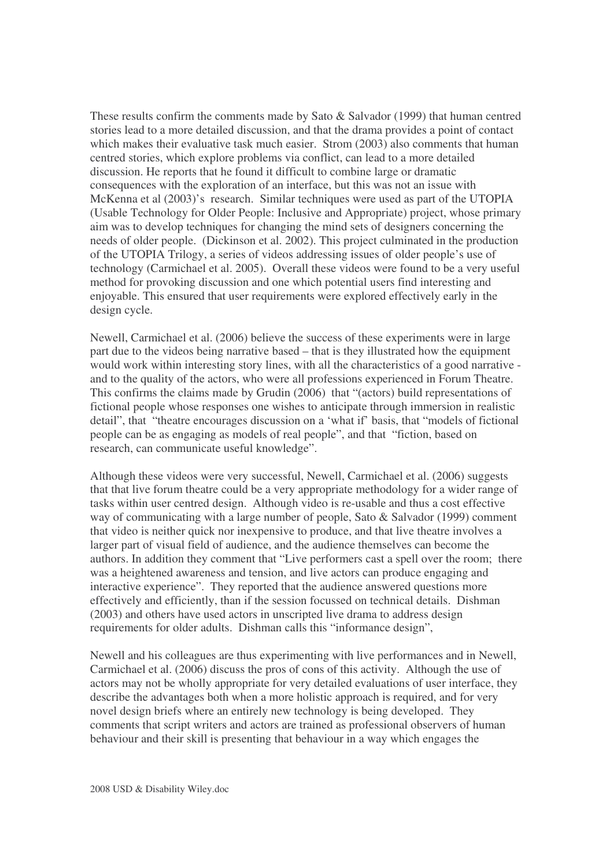These results confirm the comments made by Sato  $\&$  Salvador (1999) that human centred stories lead to a more detailed discussion, and that the drama provides a point of contact which makes their evaluative task much easier. Strom (2003) also comments that human centred stories, which explore problems via conflict, can lead to a more detailed discussion. He reports that he found it difficult to combine large or dramatic consequences with the exploration of an interface, but this was not an issue with McKenna et al (2003)'s research. Similar techniques were used as part of the UTOPIA (Usable Technology for Older People: Inclusive and Appropriate) project, whose primary aim was to develop techniques for changing the mind sets of designers concerning the needs of older people. (Dickinson et al. 2002). This project culminated in the production of the UTOPIA Trilogy, a series of videos addressing issues of older people's use of technology (Carmichael et al. 2005). Overall these videos were found to be a very useful method for provoking discussion and one which potential users find interesting and enjoyable. This ensured that user requirements were explored effectively early in the design cycle.

Newell, Carmichael et al. (2006) believe the success of these experiments were in large part due to the videos being narrative based – that is they illustrated how the equipment would work within interesting story lines, with all the characteristics of a good narrative and to the quality of the actors, who were all professions experienced in Forum Theatre. This confirms the claims made by Grudin (2006) that "(actors) build representations of fictional people whose responses one wishes to anticipate through immersion in realistic detail", that "theatre encourages discussion on a 'what if' basis, that "models of fictional people can be as engaging as models of real people", and that "fiction, based on research, can communicate useful knowledge".

Although these videos were very successful, Newell, Carmichael et al. (2006) suggests that that live forum theatre could be a very appropriate methodology for a wider range of tasks within user centred design. Although video is re-usable and thus a cost effective way of communicating with a large number of people, Sato & Salvador (1999) comment that video is neither quick nor inexpensive to produce, and that live theatre involves a larger part of visual field of audience, and the audience themselves can become the authors. In addition they comment that "Live performers cast a spell over the room; there was a heightened awareness and tension, and live actors can produce engaging and interactive experience". They reported that the audience answered questions more effectively and efficiently, than if the session focussed on technical details. Dishman (2003) and others have used actors in unscripted live drama to address design requirements for older adults. Dishman calls this "informance design",

Newell and his colleagues are thus experimenting with live performances and in Newell, Carmichael et al. (2006) discuss the pros of cons of this activity. Although the use of actors may not be wholly appropriate for very detailed evaluations of user interface, they describe the advantages both when a more holistic approach is required, and for very novel design briefs where an entirely new technology is being developed. They comments that script writers and actors are trained as professional observers of human behaviour and their skill is presenting that behaviour in a way which engages the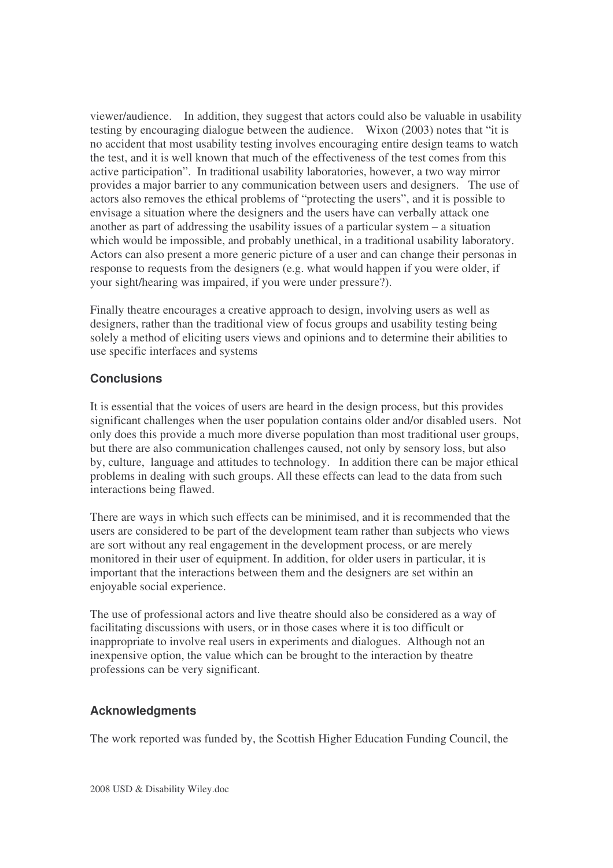viewer/audience. In addition, they suggest that actors could also be valuable in usability testing by encouraging dialogue between the audience. Wixon (2003) notes that "it is no accident that most usability testing involves encouraging entire design teams to watch the test, and it is well known that much of the effectiveness of the test comes from this active participation". In traditional usability laboratories, however, a two way mirror provides a major barrier to any communication between users and designers. The use of actors also removes the ethical problems of "protecting the users", and it is possible to envisage a situation where the designers and the users have can verbally attack one another as part of addressing the usability issues of a particular system – a situation which would be impossible, and probably unethical, in a traditional usability laboratory. Actors can also present a more generic picture of a user and can change their personas in response to requests from the designers (e.g. what would happen if you were older, if your sight/hearing was impaired, if you were under pressure?).

Finally theatre encourages a creative approach to design, involving users as well as designers, rather than the traditional view of focus groups and usability testing being solely a method of eliciting users views and opinions and to determine their abilities to use specific interfaces and systems

### **Conclusions**

It is essential that the voices of users are heard in the design process, but this provides significant challenges when the user population contains older and/or disabled users. Not only does this provide a much more diverse population than most traditional user groups, but there are also communication challenges caused, not only by sensory loss, but also by, culture, language and attitudes to technology. In addition there can be major ethical problems in dealing with such groups. All these effects can lead to the data from such interactions being flawed.

There are ways in which such effects can be minimised, and it is recommended that the users are considered to be part of the development team rather than subjects who views are sort without any real engagement in the development process, or are merely monitored in their user of equipment. In addition, for older users in particular, it is important that the interactions between them and the designers are set within an enjoyable social experience.

The use of professional actors and live theatre should also be considered as a way of facilitating discussions with users, or in those cases where it is too difficult or inappropriate to involve real users in experiments and dialogues. Although not an inexpensive option, the value which can be brought to the interaction by theatre professions can be very significant.

### **Acknowledgments**

The work reported was funded by, the Scottish Higher Education Funding Council, the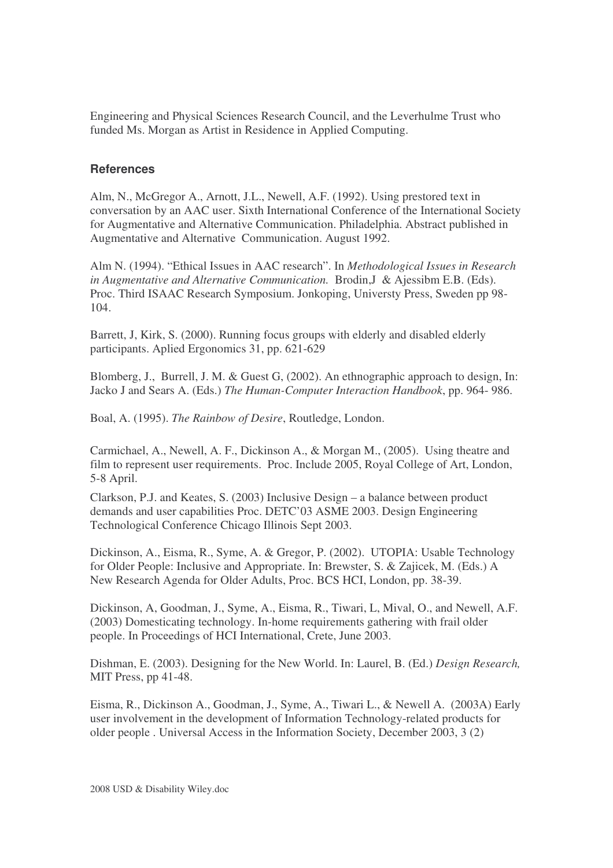Engineering and Physical Sciences Research Council, and the Leverhulme Trust who funded Ms. Morgan as Artist in Residence in Applied Computing.

#### **References**

Alm, N., McGregor A., Arnott, J.L., Newell, A.F. (1992). Using prestored text in conversation by an AAC user. Sixth International Conference of the International Society for Augmentative and Alternative Communication. Philadelphia. Abstract published in Augmentative and Alternative Communication. August 1992.

Alm N. (1994). "Ethical Issues in AAC research". In *Methodological Issues in Research in Augmentative and Alternative Communication.* Brodin,J & Ajessibm E.B. (Eds). Proc. Third ISAAC Research Symposium. Jonkoping, Universty Press, Sweden pp 98- 104.

Barrett, J, Kirk, S. (2000). Running focus groups with elderly and disabled elderly participants. Aplied Ergonomics 31, pp. 621-629

Blomberg, J., Burrell, J. M. & Guest G, (2002). An ethnographic approach to design, In: Jacko J and Sears A. (Eds.) *The Human-Computer Interaction Handbook*, pp. 964- 986.

Boal, A. (1995). *The Rainbow of Desire*, Routledge, London.

Carmichael, A., Newell, A. F., Dickinson A., & Morgan M., (2005). Using theatre and film to represent user requirements. Proc. Include 2005, Royal College of Art, London, 5-8 April.

Clarkson, P.J. and Keates, S. (2003) Inclusive Design – a balance between product demands and user capabilities Proc. DETC'03 ASME 2003. Design Engineering Technological Conference Chicago Illinois Sept 2003.

Dickinson, A., Eisma, R., Syme, A. & Gregor, P. (2002). UTOPIA: Usable Technology for Older People: Inclusive and Appropriate. In: Brewster, S. & Zajicek, M. (Eds.) A New Research Agenda for Older Adults, Proc. BCS HCI, London, pp. 38-39.

Dickinson, A, Goodman, J., Syme, A., Eisma, R., Tiwari, L, Mival, O., and Newell, A.F. (2003) Domesticating technology. In-home requirements gathering with frail older people. In Proceedings of HCI International, Crete, June 2003.

Dishman, E. (2003). Designing for the New World. In: Laurel, B. (Ed.) *Design Research,* MIT Press, pp 41-48.

Eisma, R., Dickinson A., Goodman, J., Syme, A., Tiwari L., & Newell A. (2003A) Early user involvement in the development of Information Technology-related products for older people . Universal Access in the Information Society, December 2003, 3 (2)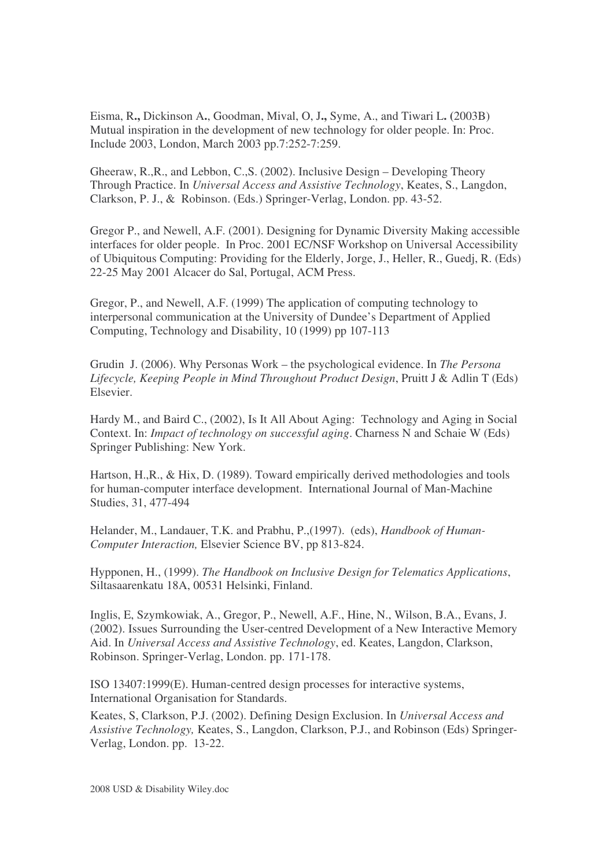Eisma, R**.,** Dickinson A**.**, Goodman, Mival, O, J**.,** Syme, A., and Tiwari L**. (**2003B) Mutual inspiration in the development of new technology for older people. In: Proc. Include 2003, London, March 2003 pp.7:252-7:259.

Gheeraw, R.,R., and Lebbon, C.,S. (2002). Inclusive Design – Developing Theory Through Practice. In *Universal Access and Assistive Technology*, Keates, S., Langdon, Clarkson, P. J., & Robinson. (Eds.) Springer-Verlag, London. pp. 43-52.

Gregor P., and Newell, A.F. (2001). Designing for Dynamic Diversity Making accessible interfaces for older people. In Proc. 2001 EC/NSF Workshop on Universal Accessibility of Ubiquitous Computing: Providing for the Elderly, Jorge, J., Heller, R., Guedj, R. (Eds) 22-25 May 2001 Alcacer do Sal, Portugal, ACM Press.

Gregor, P., and Newell, A.F. (1999) The application of computing technology to interpersonal communication at the University of Dundee's Department of Applied Computing, Technology and Disability, 10 (1999) pp 107-113

Grudin J. (2006). Why Personas Work – the psychological evidence. In *The Persona Lifecycle, Keeping People in Mind Throughout Product Design*, Pruitt J & Adlin T (Eds) Elsevier.

Hardy M., and Baird C., (2002), Is It All About Aging: Technology and Aging in Social Context. In: *Impact of technology on successful aging*. Charness N and Schaie W (Eds) Springer Publishing: New York.

Hartson, H.,R., & Hix, D. (1989). Toward empirically derived methodologies and tools for human-computer interface development. International Journal of Man-Machine Studies, 31, 477-494

Helander, M., Landauer, T.K. and Prabhu, P.,(1997). (eds), *Handbook of Human-Computer Interaction,* Elsevier Science BV, pp 813-824.

Hypponen, H., (1999). *The Handbook on Inclusive Design for Telematics Applications*, Siltasaarenkatu 18A, 00531 Helsinki, Finland.

Inglis, E, Szymkowiak, A., Gregor, P., Newell, A.F., Hine, N., Wilson, B.A., Evans, J. (2002). Issues Surrounding the User-centred Development of a New Interactive Memory Aid. In *Universal Access and Assistive Technology*, ed. Keates, Langdon, Clarkson, Robinson. Springer-Verlag, London. pp. 171-178.

ISO 13407:1999(E). Human-centred design processes for interactive systems, International Organisation for Standards.

Keates, S, Clarkson, P.J. (2002). Defining Design Exclusion. In *Universal Access and Assistive Technology,* Keates, S., Langdon, Clarkson, P.J., and Robinson (Eds) Springer-Verlag, London. pp. 13-22.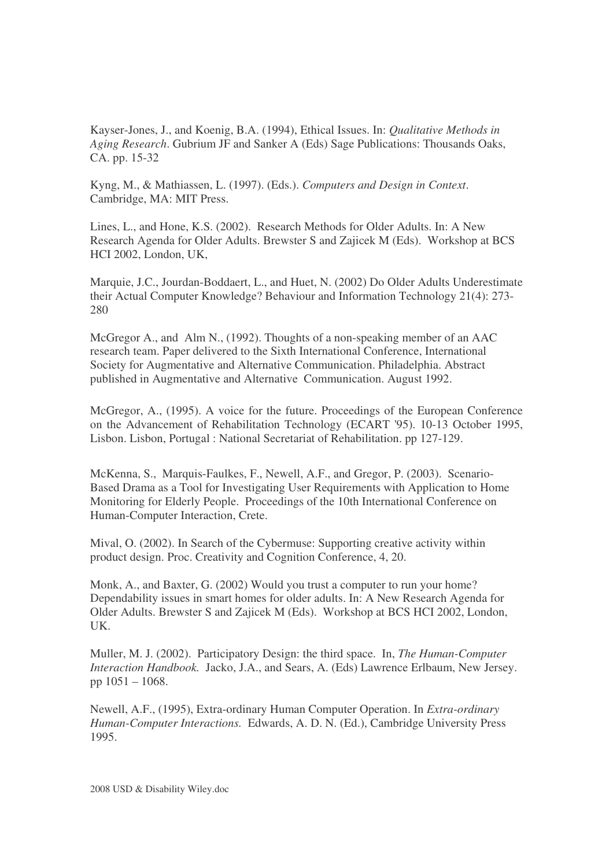Kayser-Jones, J., and Koenig, B.A. (1994), Ethical Issues. In: *Qualitative Methods in Aging Research*. Gubrium JF and Sanker A (Eds) Sage Publications: Thousands Oaks, CA. pp. 15-32

Kyng, M., & Mathiassen, L. (1997). (Eds.). *Computers and Design in Context*. Cambridge, MA: MIT Press.

Lines, L., and Hone, K.S. (2002). Research Methods for Older Adults. In: A New Research Agenda for Older Adults. Brewster S and Zajicek M (Eds). Workshop at BCS HCI 2002, London, UK,

Marquie, J.C., Jourdan-Boddaert, L., and Huet, N. (2002) Do Older Adults Underestimate their Actual Computer Knowledge? Behaviour and Information Technology 21(4): 273- 280

McGregor A., and Alm N., (1992). Thoughts of a non-speaking member of an AAC research team. Paper delivered to the Sixth International Conference, International Society for Augmentative and Alternative Communication. Philadelphia. Abstract published in Augmentative and Alternative Communication. August 1992.

McGregor, A., (1995). A voice for the future. Proceedings of the European Conference on the Advancement of Rehabilitation Technology (ECART '95). 10-13 October 1995, Lisbon. Lisbon, Portugal : National Secretariat of Rehabilitation. pp 127-129.

McKenna, S., Marquis-Faulkes, F., Newell, A.F., and Gregor, P. (2003). Scenario-Based Drama as a Tool for Investigating User Requirements with Application to Home Monitoring for Elderly People. Proceedings of the 10th International Conference on Human-Computer Interaction, Crete.

Mival, O. (2002). In Search of the Cybermuse: Supporting creative activity within product design. Proc. Creativity and Cognition Conference, 4, 20.

Monk, A., and Baxter, G. (2002) Would you trust a computer to run your home? Dependability issues in smart homes for older adults. In: A New Research Agenda for Older Adults. Brewster S and Zajicek M (Eds). Workshop at BCS HCI 2002, London, UK.

Muller, M. J. (2002). Participatory Design: the third space. In, *The Human-Computer Interaction Handbook.* Jacko, J.A., and Sears, A. (Eds) Lawrence Erlbaum, New Jersey. pp 1051 – 1068.

Newell, A.F., (1995), Extra-ordinary Human Computer Operation. In *Extra-ordinary Human-Computer Interactions.* Edwards, A. D. N. (Ed.), Cambridge University Press 1995.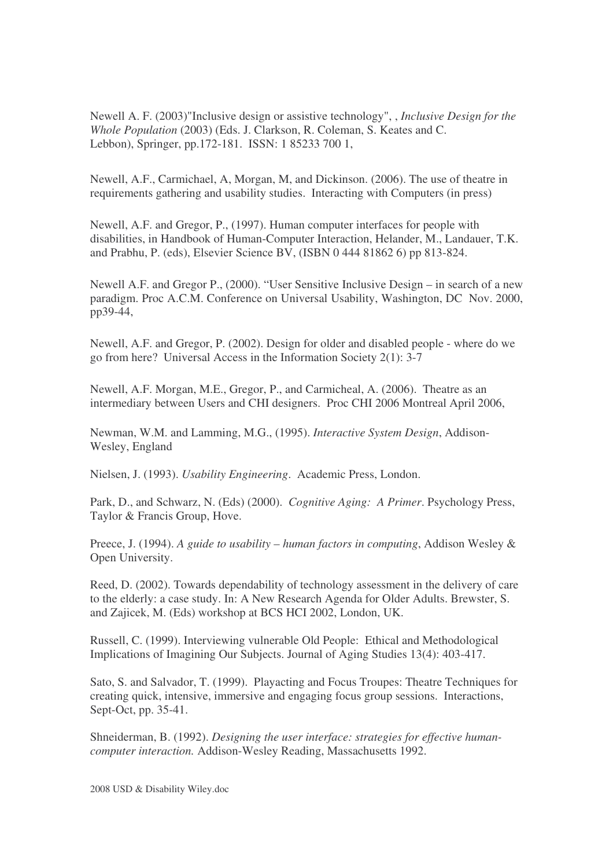Newell A. F. (2003)"Inclusive design or assistive technology", , *Inclusive Design for the Whole Population* (2003) (Eds. J. Clarkson, R. Coleman, S. Keates and C. Lebbon), Springer, pp.172-181. ISSN: 1 85233 700 1,

Newell, A.F., Carmichael, A, Morgan, M, and Dickinson. (2006). The use of theatre in requirements gathering and usability studies. Interacting with Computers (in press)

Newell, A.F. and Gregor, P., (1997). Human computer interfaces for people with disabilities, in Handbook of Human-Computer Interaction, Helander, M., Landauer, T.K. and Prabhu, P. (eds), Elsevier Science BV, (ISBN 0 444 81862 6) pp 813-824.

Newell A.F. and Gregor P., (2000). "User Sensitive Inclusive Design – in search of a new paradigm. Proc A.C.M. Conference on Universal Usability, Washington, DC Nov. 2000, pp39-44,

Newell, A.F. and Gregor, P. (2002). Design for older and disabled people - where do we go from here? Universal Access in the Information Society 2(1): 3-7

Newell, A.F. Morgan, M.E., Gregor, P., and Carmicheal, A. (2006). Theatre as an intermediary between Users and CHI designers. Proc CHI 2006 Montreal April 2006,

Newman, W.M. and Lamming, M.G., (1995). *Interactive System Design*, Addison-Wesley, England

Nielsen, J. (1993). *Usability Engineering*. Academic Press, London.

Park, D., and Schwarz, N. (Eds) (2000). *Cognitive Aging: A Primer*. Psychology Press, Taylor & Francis Group, Hove.

Preece, J. (1994). *A guide to usability – human factors in computing*, Addison Wesley & Open University.

Reed, D. (2002). Towards dependability of technology assessment in the delivery of care to the elderly: a case study. In: A New Research Agenda for Older Adults. Brewster, S. and Zajicek, M. (Eds) workshop at BCS HCI 2002, London, UK.

Russell, C. (1999). Interviewing vulnerable Old People: Ethical and Methodological Implications of Imagining Our Subjects. Journal of Aging Studies 13(4): 403-417.

Sato, S. and Salvador, T. (1999). Playacting and Focus Troupes: Theatre Techniques for creating quick, intensive, immersive and engaging focus group sessions. Interactions, Sept-Oct, pp. 35-41.

Shneiderman, B. (1992). *Designing the user interface: strategies for effective humancomputer interaction.* Addison-Wesley Reading, Massachusetts 1992.